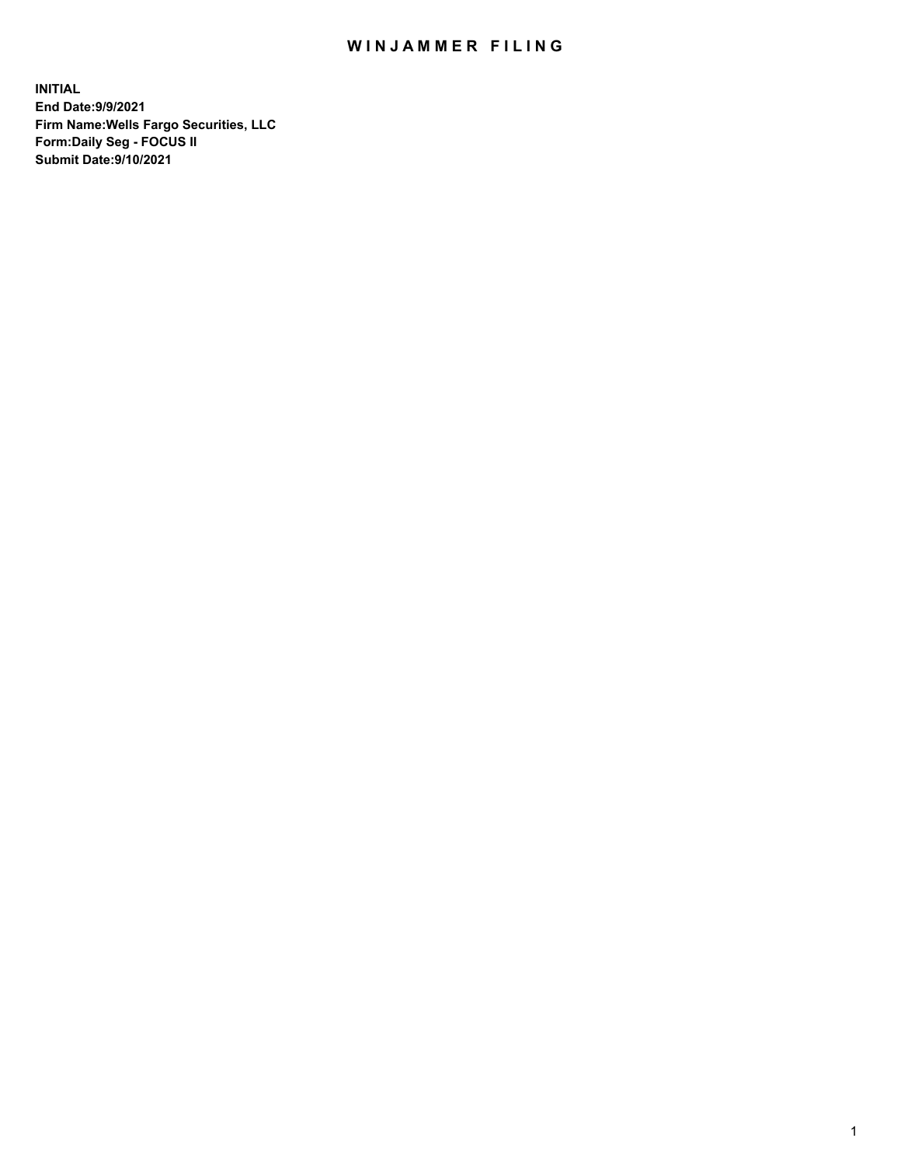## WIN JAMMER FILING

**INITIAL End Date:9/9/2021 Firm Name:Wells Fargo Securities, LLC Form:Daily Seg - FOCUS II Submit Date:9/10/2021**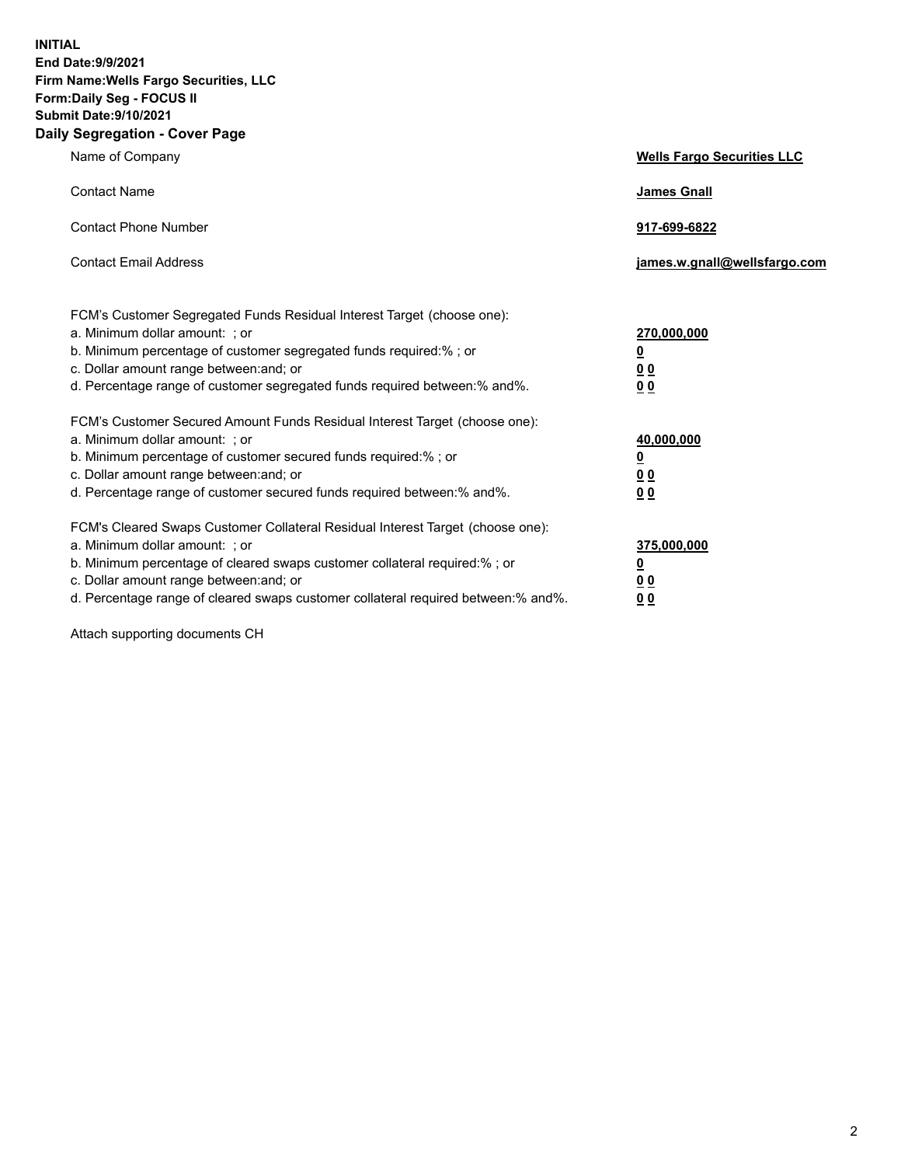**INITIAL End Date:9/9/2021 Firm Name:Wells Fargo Securities, LLC Form:Daily Seg - FOCUS II Submit Date:9/10/2021 Daily Segregation - Cover Page**

| Name of Company                                                                                                                                                                                                                                                                                                                | <b>Wells Fargo Securities LLC</b>                                         |
|--------------------------------------------------------------------------------------------------------------------------------------------------------------------------------------------------------------------------------------------------------------------------------------------------------------------------------|---------------------------------------------------------------------------|
| <b>Contact Name</b>                                                                                                                                                                                                                                                                                                            | <b>James Gnall</b>                                                        |
| <b>Contact Phone Number</b>                                                                                                                                                                                                                                                                                                    | 917-699-6822                                                              |
| <b>Contact Email Address</b>                                                                                                                                                                                                                                                                                                   | james.w.gnall@wellsfargo.com                                              |
| FCM's Customer Segregated Funds Residual Interest Target (choose one):<br>a. Minimum dollar amount: ; or<br>b. Minimum percentage of customer segregated funds required:% ; or<br>c. Dollar amount range between: and; or<br>d. Percentage range of customer segregated funds required between:% and%.                         | 270,000,000<br>$\overline{\mathbf{0}}$<br>0 <sub>0</sub><br>00            |
| FCM's Customer Secured Amount Funds Residual Interest Target (choose one):<br>a. Minimum dollar amount: ; or<br>b. Minimum percentage of customer secured funds required:%; or<br>c. Dollar amount range between: and; or<br>d. Percentage range of customer secured funds required between:% and%.                            | 40,000,000<br>$\overline{\mathbf{0}}$<br>0 <sub>0</sub><br>0 <sub>0</sub> |
| FCM's Cleared Swaps Customer Collateral Residual Interest Target (choose one):<br>a. Minimum dollar amount: ; or<br>b. Minimum percentage of cleared swaps customer collateral required:% ; or<br>c. Dollar amount range between: and; or<br>d. Percentage range of cleared swaps customer collateral required between:% and%. | 375,000,000<br><u>0</u><br>00<br>00                                       |

Attach supporting documents CH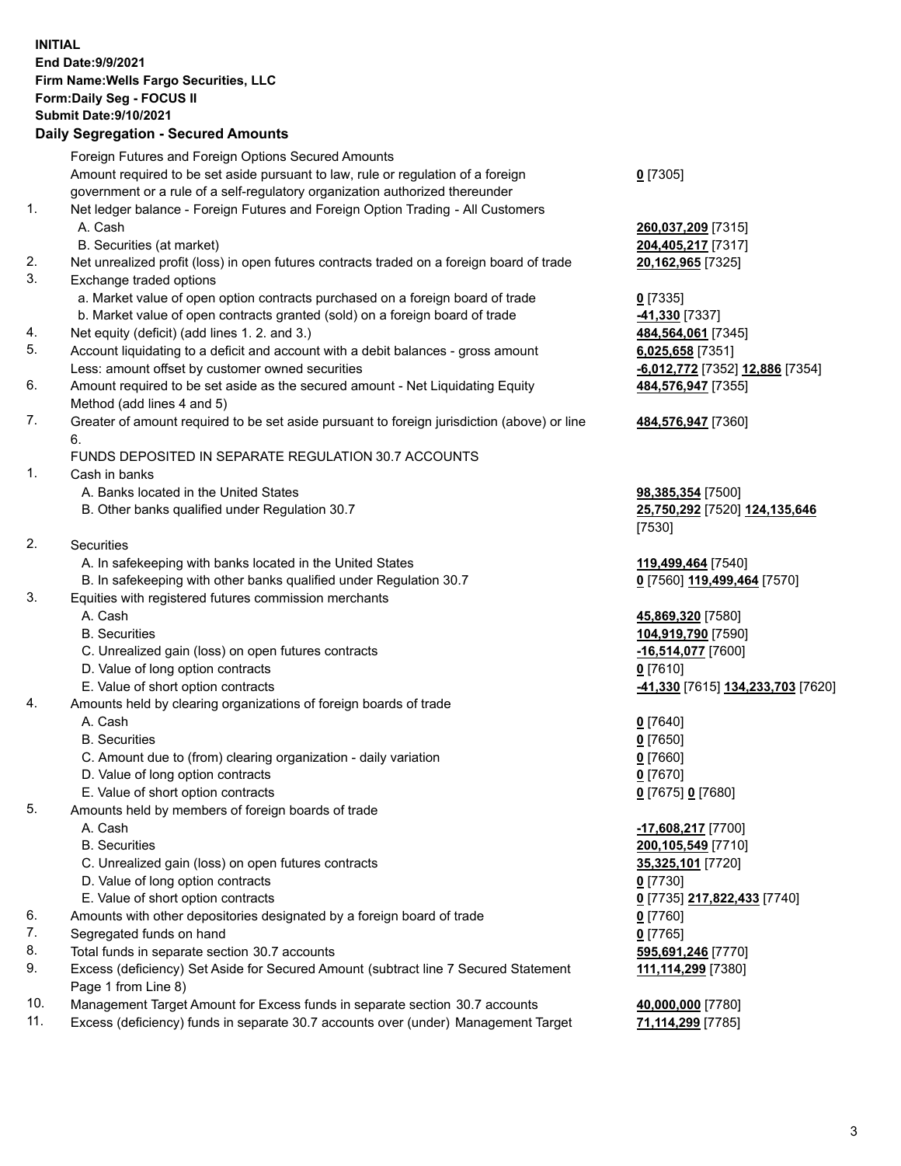**INITIAL End Date:9/9/2021 Firm Name:Wells Fargo Securities, LLC Form:Daily Seg - FOCUS II Submit Date:9/10/2021 Daily Segregation - Secured Amounts**

Foreign Futures and Foreign Options Secured Amounts Amount required to be set aside pursuant to law, rule or regulation of a foreign government or a rule of a self-regulatory organization authorized thereunder **0** [7305] 1. Net ledger balance - Foreign Futures and Foreign Option Trading - All Customers A. Cash **260,037,209** [7315] B. Securities (at market) **204,405,217** [7317] 2. Net unrealized profit (loss) in open futures contracts traded on a foreign board of trade **20,162,965** [7325] 3. Exchange traded options a. Market value of open option contracts purchased on a foreign board of trade **0** [7335] b. Market value of open contracts granted (sold) on a foreign board of trade **-41,330** [7337] 4. Net equity (deficit) (add lines 1. 2. and 3.) **484,564,061** [7345] 5. Account liquidating to a deficit and account with a debit balances - gross amount **6,025,658** [7351] Less: amount offset by customer owned securities **-6,012,772** [7352] **12,886** [7354] 6. Amount required to be set aside as the secured amount - Net Liquidating Equity Method (add lines 4 and 5) **484,576,947** [7355] 7. Greater of amount required to be set aside pursuant to foreign jurisdiction (above) or line 6. **484,576,947** [7360] FUNDS DEPOSITED IN SEPARATE REGULATION 30.7 ACCOUNTS 1. Cash in banks A. Banks located in the United States **98,385,354** [7500] B. Other banks qualified under Regulation 30.7 **25,750,292** [7520] **124,135,646** [7530] 2. Securities A. In safekeeping with banks located in the United States **119,499,464** [7540] B. In safekeeping with other banks qualified under Regulation 30.7 **0** [7560] **119,499,464** [7570] 3. Equities with registered futures commission merchants A. Cash **45,869,320** [7580] B. Securities **104,919,790** [7590] C. Unrealized gain (loss) on open futures contracts **-16,514,077** [7600] D. Value of long option contracts **0** [7610] E. Value of short option contracts **-41,330** [7615] **134,233,703** [7620] 4. Amounts held by clearing organizations of foreign boards of trade A. Cash **0** [7640] B. Securities **0** [7650] C. Amount due to (from) clearing organization - daily variation **0** [7660] D. Value of long option contracts **0** [7670] E. Value of short option contracts **0** [7675] **0** [7680] 5. Amounts held by members of foreign boards of trade A. Cash **-17,608,217** [7700] B. Securities **200,105,549** [7710] C. Unrealized gain (loss) on open futures contracts **35,325,101** [7720] D. Value of long option contracts **0** [7730] E. Value of short option contracts **0** [7735] **217,822,433** [7740] 6. Amounts with other depositories designated by a foreign board of trade **0** [7760] 7. Segregated funds on hand **0** [7765] 8. Total funds in separate section 30.7 accounts **595,691,246** [7770] 9. Excess (deficiency) Set Aside for Secured Amount (subtract line 7 Secured Statement Page 1 from Line 8) **111,114,299** [7380] 10. Management Target Amount for Excess funds in separate section 30.7 accounts **40,000,000** [7780] 11. Excess (deficiency) funds in separate 30.7 accounts over (under) Management Target **71,114,299** [7785]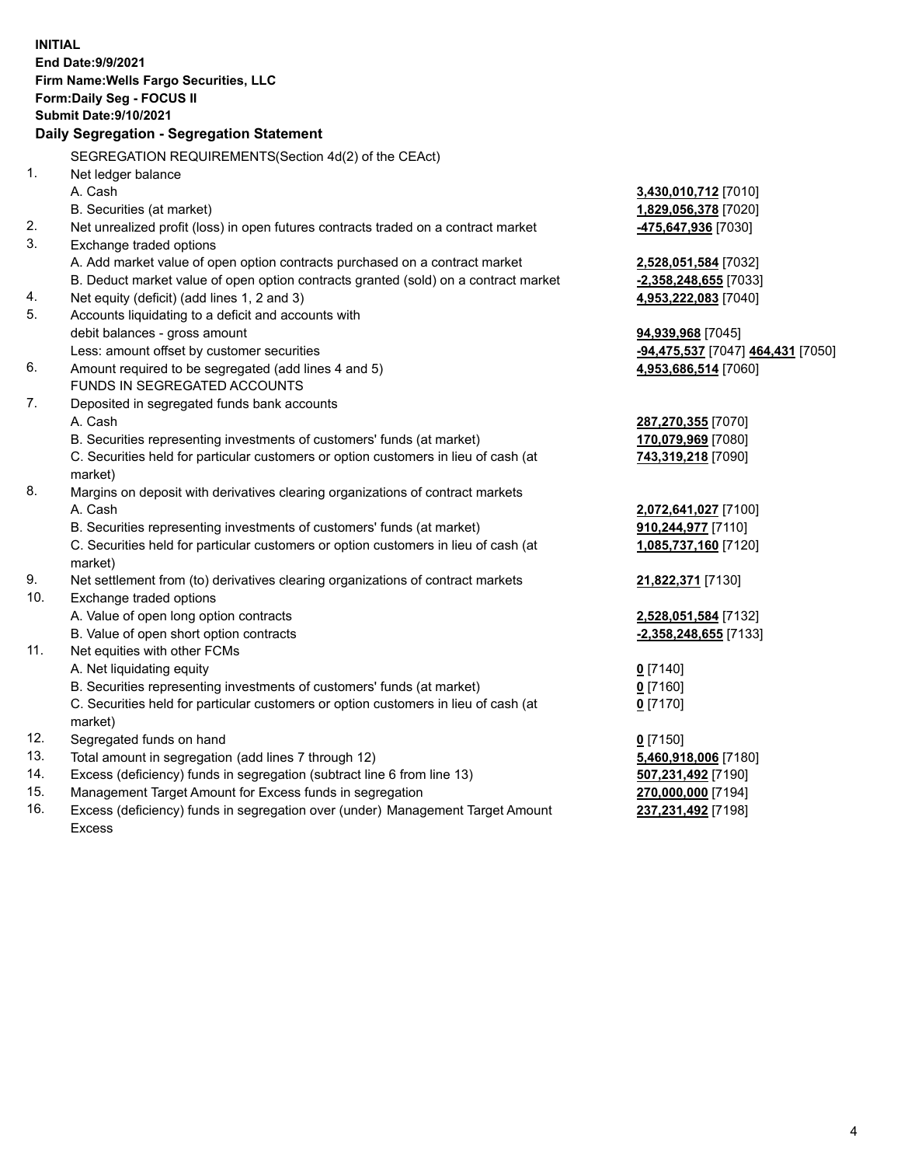**INITIAL End Date:9/9/2021 Firm Name:Wells Fargo Securities, LLC Form:Daily Seg - FOCUS II Submit Date:9/10/2021 Daily Segregation - Segregation Statement** SEGREGATION REQUIREMENTS(Section 4d(2) of the CEAct) 1. Net ledger balance A. Cash **3,430,010,712** [7010] B. Securities (at market) **1,829,056,378** [7020] 2. Net unrealized profit (loss) in open futures contracts traded on a contract market **-475,647,936** [7030] 3. Exchange traded options A. Add market value of open option contracts purchased on a contract market **2,528,051,584** [7032] B. Deduct market value of open option contracts granted (sold) on a contract market **-2,358,248,655** [7033] 4. Net equity (deficit) (add lines 1, 2 and 3) **4,953,222,083** [7040] 5. Accounts liquidating to a deficit and accounts with debit balances - gross amount **94,939,968** [7045] Less: amount offset by customer securities **-94,475,537** [7047] **464,431** [7050] 6. Amount required to be segregated (add lines 4 and 5) **4,953,686,514** [7060] FUNDS IN SEGREGATED ACCOUNTS 7. Deposited in segregated funds bank accounts A. Cash **287,270,355** [7070] B. Securities representing investments of customers' funds (at market) **170,079,969** [7080] C. Securities held for particular customers or option customers in lieu of cash (at market) **743,319,218** [7090] 8. Margins on deposit with derivatives clearing organizations of contract markets A. Cash **2,072,641,027** [7100] B. Securities representing investments of customers' funds (at market) **910,244,977** [7110] C. Securities held for particular customers or option customers in lieu of cash (at market) **1,085,737,160** [7120] 9. Net settlement from (to) derivatives clearing organizations of contract markets **21,822,371** [7130] 10. Exchange traded options A. Value of open long option contracts **2,528,051,584** [7132] B. Value of open short option contracts **-2,358,248,655** [7133] 11. Net equities with other FCMs A. Net liquidating equity **0** [7140] B. Securities representing investments of customers' funds (at market) **0** [7160] C. Securities held for particular customers or option customers in lieu of cash (at market) **0** [7170] 12. Segregated funds on hand **0** [7150] 13. Total amount in segregation (add lines 7 through 12) **5,460,918,006** [7180] 14. Excess (deficiency) funds in segregation (subtract line 6 from line 13) **507,231,492** [7190] 15. Management Target Amount for Excess funds in segregation **270,000,000** [7194] 16. Excess (deficiency) funds in segregation over (under) Management Target Amount **237,231,492** [7198]

Excess